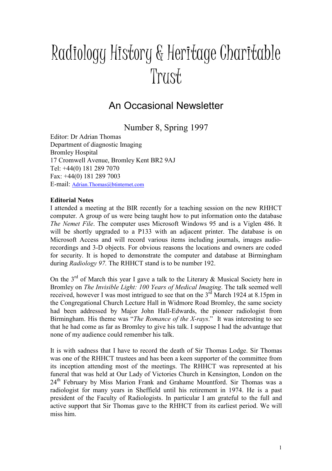# Radiology History & Heritage Charitable Trust

# An Occasional Newsletter

Number 8, Spring 1997

Editor: Dr Adrian Thomas Department of diagnostic Imaging Bromley Hospital 17 Cromwell Avenue, Bromley Kent BR2 9AJ Tel: +44(0) 181 289 7070 Fax: +44(0) 181 289 7003 E-mail: Adrian.Thomas@btinternet.com

# **Editorial Notes**

I attended a meeting at the BIR recently for a teaching session on the new RHHCT computer. A group of us were being taught how to put information onto the database The Nemet File. The computer uses Microsoft Windows 95 and is a Viglen 486. It will be shortly upgraded to a P133 with an adjacent printer. The database is on Microsoft Access and will record various items including journals, images audiorecordings and 3-D objects. For obvious reasons the locations and owners are coded for security. It is hoped to demonstrate the computer and database at Birmingham during Radiology 97. The RHHCT stand is to be number 192.

On the  $3^{rd}$  of March this year I gave a talk to the Literary & Musical Society here in Bromley on The Invisible Light: 100 Years of Medical Imaging. The talk seemed well received, however I was most intrigued to see that on the  $3<sup>rd</sup>$  March 1924 at 8.15pm in the Congregational Church Lecture Hall in Widmore Road Bromley, the same society had been addressed by Major John Hall-Edwards, the pioneer radiologist from Birmingham. His theme was "*The Romance of the X-rays*." It was interesting to see that he had come as far as Bromley to give his talk. I suppose I had the advantage that none of my audience could remember his talk.

It is with sadness that I have to record the death of Sir Thomas Lodge. Sir Thomas was one of the RHHCT trustees and has been a keen supporter of the committee from its inception attending most of the meetings. The RHHCT was represented at his funeral that was held at Our Lady of Victories Church in Kensington, London on the 24<sup>th</sup> February by Miss Marion Frank and Grahame Mountford. Sir Thomas was a radiologist for many years in Sheffield until his retirement in 1974. He is a past president of the Faculty of Radiologists. In particular I am grateful to the full and active support that Sir Thomas gave to the RHHCT from its earliest period. We will miss him.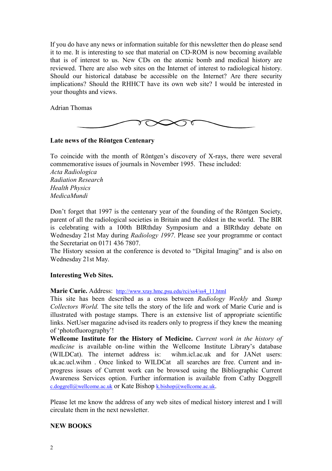If you do have any news or information suitable for this newsletter then do please send it to me. It is interesting to see that material on CD-ROM is now becoming available that is of interest to us. New CDs on the atomic bomb and medical history are reviewed. There are also web sites on the Internet of interest to radiological history. Should our historical database be accessible on the Internet? Are there security implications? Should the RHHCT have its own web site? I would be interested in your thoughts and views.

Adrian Thomas



### Late news of the Röntgen Centenary

To coincide with the month of Röntgen's discovery of X-rays, there were several commemorative issues of journals in November 1995. These included: Acta Radiologica Radiation Research Health Physics MedicaMundi

Don't forget that 1997 is the centenary year of the founding of the Röntgen Society, parent of all the radiological societies in Britain and the oldest in the world. The BIR is celebrating with a 100th BIRthday Symposium and a BIRthday debate on Wednesday 21st May during Radiology 1997. Please see your programme or contact the Secretariat on 0171 436 7807.

The History session at the conference is devoted to "Digital Imaging" and is also on Wednesday 21st May.

#### Interesting Web Sites.

Marie Curie. Address: http://www.xray.hmc.psu.edu/rci/ss4/ss4\_11.html

This site has been described as a cross between Radiology Weekly and Stamp Collectors World. The site tells the story of the life and work of Marie Curie and is illustrated with postage stamps. There is an extensive list of appropriate scientific links. NetUser magazine advised its readers only to progress if they knew the meaning of 'photofluorography'!

Wellcome Institute for the History of Medicine. Current work in the history of medicine is available on-line within the Wellcome Institute Library's database (WILDCat). The internet address is: wihm.icl.ac.uk and for JANet users: uk.ac.ucl.wihm . Once linked to WILDCat all searches are free. Current and inprogress issues of Current work can be browsed using the Bibliographic Current Awareness Services option. Further information is available from Cathy Doggrell c.doggrell@wellcome.ac.uk or Kate Bishop k.bishop@wellcome.ac.uk.

Please let me know the address of any web sites of medical history interest and I will circulate them in the next newsletter.

#### EW BOOKS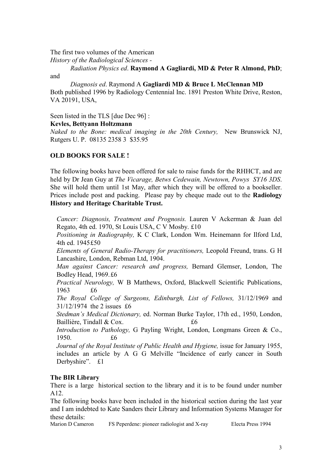The first two volumes of the American

History of the Radiological Sciences -

 Radiation Physics ed. Raymond A Gagliardi, MD & Peter R Almond, PhD; and

 Diagnosis ed. Raymond A Gagliardi MD & Bruce L McClennan MD Both published 1996 by Radiology Centennial Inc. 1891 Preston White Drive, Reston, VA 20191, USA,

Seen listed in the TLS [due Dec 96] :

### Kevles, Bettyann Holtzmann

Naked to the Bone: medical imaging in the  $20$ th Century. New Brunswick NJ, Rutgers U. P. 08135 2358 3 \$35.95

# OLD BOOKS FOR SALE !

The following books have been offered for sale to raise funds for the RHHCT, and are held by Dr Jean Guy at The Vicarage, Betws Cedewain, Newtown, Powys SY16 3DS. She will hold them until 1st May, after which they will be offered to a bookseller. Prices include post and packing. Please pay by cheque made out to the Radiology History and Heritage Charitable Trust.

Cancer: Diagnosis, Treatment and Prognosis. Lauren V Ackerman & Juan del Regato, 4th ed. 1970, St Louis USA, C V Mosby. £10

Positioning in Radiography, K C Clark, London Wm. Heinemann for Ilford Ltd, 4th ed. 1945 £50

Elements of General Radio-Therapy for practitioners, Leopold Freund, trans. G H Lancashire, London, Rebman Ltd, 1904.

Man against Cancer: research and progress, Bernard Glemser, London, The Bodley Head, 1969. £6

Practical Neurology, W B Matthews, Oxford, Blackwell Scientific Publications, 1963 £6

The Royal College of Surgeons, Edinburgh, List of Fellows, 31/12/1969 and 31/12/1974 the 2 issues £6

Stedman's Medical Dictionary, ed. Norman Burke Taylor, 17th ed., 1950, London, Baillière, Tindall  $& Cox$ .

Introduction to Pathology, G Payling Wright, London, Longmans Green & Co., 1950. £6

Journal of the Royal Institute of Public Health and Hygiene, issue for January 1955, includes an article by A G G Melville "Incidence of early cancer in South Derbyshire". £1

# The BIR Library

There is a large historical section to the library and it is to be found under number A12.

The following books have been included in the historical section during the last year and I am indebted to Kate Sanders their Library and Information Systems Manager for these details:

Marion D Cameron FS Peperdene: pioneer radiologist and X-ray Electa Press 1994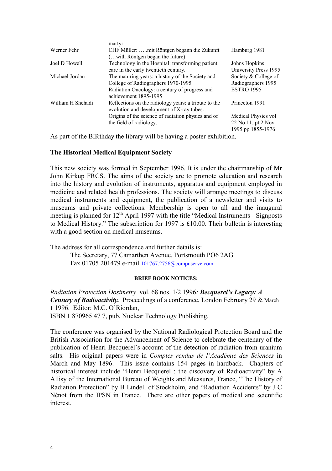|                   | martyr.                                                                                           |                       |
|-------------------|---------------------------------------------------------------------------------------------------|-----------------------|
| Werner Fehr       | CHF Müller: mit Röntgen begann die Zukunft                                                        | Hamburg 1981          |
|                   | ( with Röntgen began the future)                                                                  |                       |
| Joel D Howell     | Technology in the Hospital: transforming patient                                                  | Johns Hopkins         |
|                   | care in the early twentieth century.                                                              | University Press 1995 |
| Michael Jordan    | The maturing years: a history of the Society and                                                  | Society & College of  |
|                   | College of Radiographers 1970-1995                                                                | Radiographers 1995    |
|                   | Radiation Oncology: a century of progress and<br>achievement 1895-1995                            | <b>ESTRO 1995</b>     |
| William H Shehadi | Reflections on the radiology years: a tribute to the<br>evolution and development of X-ray tubes. | Princeton 1991        |
|                   | Origins of the science of radiation physics and of                                                | Medical Physics vol   |
|                   | the field of radiology.                                                                           | 22 No 11, pt 2 Nov    |
|                   |                                                                                                   | 1995 pp 1855-1976     |

As part of the BIRthday the library will be having a poster exhibition.

#### The Historical Medical Equipment Society

This new society was formed in September 1996. It is under the chairmanship of Mr John Kirkup FRCS. The aims of the society are to promote education and research into the history and evolution of instruments, apparatus and equipment employed in medicine and related health professions. The society will arrange meetings to discuss medical instruments and equipment, the publication of a newsletter and visits to museums and private collections. Membership is open to all and the inaugural meeting is planned for  $12<sup>th</sup>$  April 1997 with the title "Medical Instruments - Signposts to Medical History." The subscription for 1997 is £10.00. Their bulletin is interesting with a good section on medical museums.

The address for all correspondence and further details is: The Secretary, 77 Camarthen Avenue, Portsmouth PO6 2AG Fax 01705 201479 e-mail 101767.2756@compuserve.com

#### BRIEF BOOK OTICES:

Radiation Protection Dosimetry vol. 68 nos. 1/2 1996: Becquerel's Legacy: A Century of Radioactivity. Proceedings of a conference, London February 29 & March 1 1996. Editor: M.C. O'Riordan, ISBN 1 870965 47 7, pub. Nuclear Technology Publishing.

The conference was organised by the National Radiological Protection Board and the British Association for the Advancement of Science to celebrate the centenary of the publication of Henri Becquerel's account of the detection of radiation from uranium salts. His original papers were in Comptes rendus de l'Académie des Sciences in March and May 1896. This issue contains 154 pages in hardback. Chapters of historical interest include "Henri Becquerel : the discovery of Radioactivity" by A Allisy of the International Bureau of Weights and Measures, France, "The History of Radiation Protection" by B Lindell of Stockholm, and "Radiation Accidents" by J C Nénot from the IPSN in France. There are other papers of medical and scientific interest.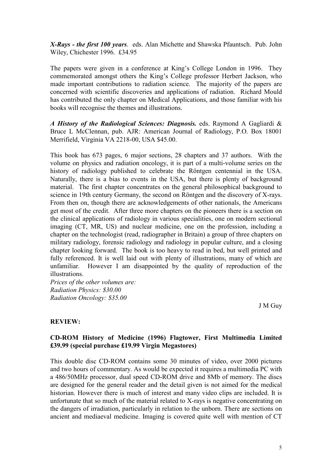X-Rays - the first 100 years. eds. Alan Michette and Shawska Pfauntsch. Pub. John Wiley, Chichester 1996. £34.95

The papers were given in a conference at King's College London in 1996. They commemorated amongst others the King's College professor Herbert Jackson, who made important contributions to radiation science. The majority of the papers are concerned with scientific discoveries and applications of radiation. Richard Mould has contributed the only chapter on Medical Applications, and those familiar with his books will recognise the themes and illustrations.

A History of the Radiological Sciences: Diagnosis. eds. Raymond A Gagliardi & Bruce L McClennan, pub. AJR: American Journal of Radiology, P.O. Box 18001 Merrifield, Virginia VA 2218-00, USA \$45.00.

This book has 673 pages, 6 major sections, 28 chapters and 37 authors. With the volume on physics and radiation oncology, it is part of a multi-volume series on the history of radiology published to celebrate the Röntgen centennial in the USA. Naturally, there is a bias to events in the USA, but there is plenty of background material. The first chapter concentrates on the general philosophical background to science in 19th century Germany, the second on Röntgen and the discovery of X-rays. From then on, though there are acknowledgements of other nationals, the Americans get most of the credit. After three more chapters on the pioneers there is a section on the clinical applications of radiology in various specialities, one on modern sectional imaging (CT, MR, US) and nuclear medicine, one on the profession, including a chapter on the technologist (read, radiographer in Britain) a group of three chapters on military radiology, forensic radiology and radiology in popular culture, and a closing chapter looking forward. The book is too heavy to read in bed, but well printed and fully referenced. It is well laid out with plenty of illustrations, many of which are unfamiliar. However I am disappointed by the quality of reproduction of the illustrations.

Prices of the other volumes are: Radiation Physics: \$30.00 Radiation Oncology: \$35.00

J M Guy

# REVIEW:

### CD-ROM History of Medicine (1996) Flagtower, First Multimedia Limited £39.99 (special purchase £19.99 Virgin Megastores)

This double disc CD-ROM contains some 30 minutes of video, over 2000 pictures and two hours of commentary. As would be expected it requires a multimedia PC with a 486/50MHz processor, dual speed CD-ROM drive and 8Mb of memory. The discs are designed for the general reader and the detail given is not aimed for the medical historian. However there is much of interest and many video clips are included. It is unfortunate that so much of the material related to X-rays is negative concentrating on the dangers of irradiation, particularly in relation to the unborn. There are sections on ancient and mediaeval medicine. Imaging is covered quite well with mention of CT